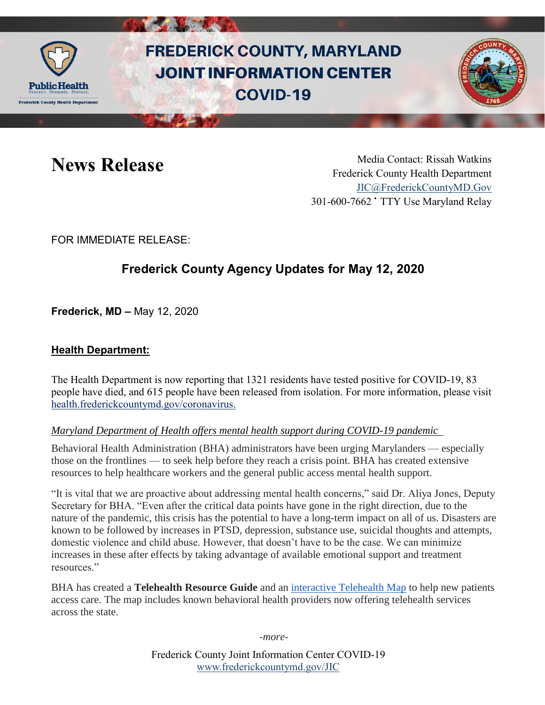

# **FREDERICK COUNTY, MARYLAND JOINT INFORMATION CENTER COVID-19**



News Release Media Contact: Rissah Watkins Frederick County Health Department [JIC@FrederickCountyMD.Gov](mailto:JIC@FrederickCountyMD.Gov) 301-600-7662 • TTY Use Maryland Relay

FOR IMMEDIATE RELEASE:

## **Frederick County Agency Updates for May 12, 2020**

**Frederick, MD –** May 12, 2020

### **Health Department:**

The Health Department is now reporting that 1321 residents have tested positive for COVID-19, 83 people have died, and 615 people have been released from isolation. For more information, please visit [health.frederickcountymd.gov/coronavirus.](https://health.frederickcountymd.gov/614/Novel-Coronavirus-COVID-19)

#### *Maryland Department of Health offers mental health support during COVID-19 pandemic*

Behavioral Health Administration (BHA) administrators have been urging Marylanders — especially those on the frontlines — to seek help before they reach a crisis point. BHA has created extensive resources to help healthcare workers and the general public access mental health support.

"It is vital that we are proactive about addressing mental health concerns," said Dr. Aliya Jones, Deputy Secretary for BHA. "Even after the critical data points have gone in the right direction, due to the nature of the pandemic, this crisis has the potential to have a long-term impact on all of us. Disasters are known to be followed by increases in PTSD, depression, substance use, suicidal thoughts and attempts, domestic violence and child abuse. However, that doesn't have to be the case. We can minimize increases in these after effects by taking advantage of available emotional support and treatment resources."

BHA has created a **Telehealth Resource Guide** and an [interactive Telehealth Map](https://telebehavioralhealth-maryland.hub.arcgis.com/) to help new patients access care. The map includes known behavioral health providers now offering telehealth services across the state.

*-more-*

Frederick County Joint Information Center COVID-19 [www.frederickcountymd.gov/JIC](https://frederickcountymd.gov/JIC)